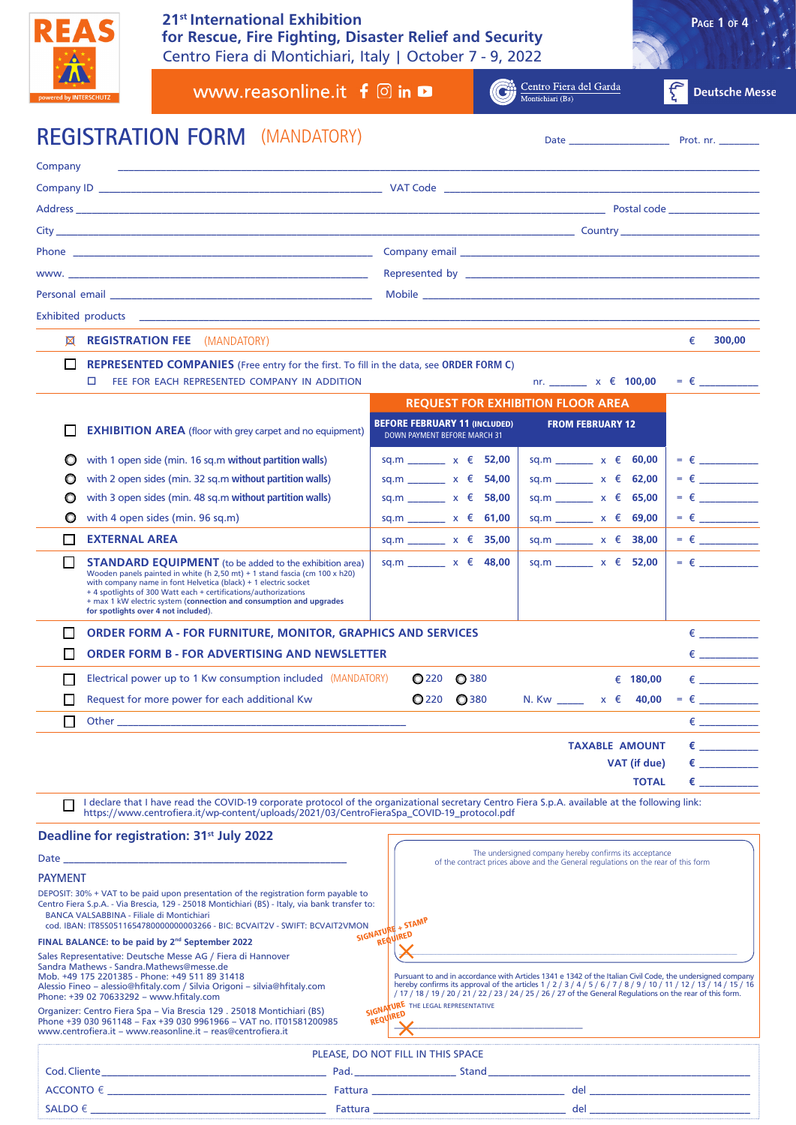

Centro Fiera di Montichiari, Italy | October 7 - 9, 2022 **21st International Exhibition for Rescue, Fire Fighting, Disaster Relief and Security**

| PAGE 1 OF 4 |  |
|-------------|--|
|             |  |

Centro Fiera del Garda<br>Montichiari (Bs) www.reasonline.it  $f \circ$  in  $\bullet$ **Deutsche Messe** KC **REGISTRATION FORM** Date \_\_\_\_\_\_\_\_\_\_\_\_\_\_\_\_\_\_\_\_ Prot. nr. \_\_\_\_\_\_\_\_ (MANDATORY) Company \_\_\_\_\_\_\_\_\_\_\_\_\_\_\_\_\_\_\_\_\_\_\_\_\_\_\_\_\_\_\_\_\_\_\_\_\_\_\_\_\_\_\_\_\_\_\_\_\_\_\_\_\_\_\_\_\_\_\_\_\_\_\_\_\_\_\_\_\_\_\_\_\_\_\_\_\_\_\_\_\_\_\_\_\_\_\_\_\_\_\_\_\_\_\_\_\_\_\_\_\_\_\_\_\_\_\_\_\_\_\_\_\_\_\_\_\_\_\_\_ Company ID \_\_\_\_\_\_\_\_\_\_\_\_\_\_\_\_\_\_\_\_\_\_\_\_\_\_\_\_\_\_\_\_\_\_\_\_\_\_\_\_\_\_\_\_\_\_\_\_\_\_\_\_\_ VAT Code \_\_\_\_\_\_\_\_\_\_\_\_\_\_\_\_\_\_\_\_\_\_\_\_\_\_\_\_\_\_\_\_\_\_\_\_\_\_\_\_\_\_\_\_\_\_\_\_\_\_\_\_\_\_\_\_\_\_\_ Address \_\_\_\_\_\_\_\_\_\_\_\_\_\_\_\_\_\_\_\_\_\_\_\_\_\_\_\_\_\_\_\_\_\_\_\_\_\_\_\_\_\_\_\_\_\_\_\_\_\_\_\_\_\_\_\_\_\_\_\_\_\_\_\_\_\_\_\_\_\_\_\_\_\_\_\_\_\_\_\_\_\_\_\_\_\_\_\_\_\_\_\_\_\_\_\_\_\_\_ Postal code \_\_\_\_\_\_\_\_\_\_\_\_\_\_\_\_\_ City \_\_\_\_\_\_\_\_\_\_\_\_\_\_\_\_\_\_\_\_\_\_\_\_\_\_\_\_\_\_\_\_\_\_\_\_\_\_\_\_\_\_\_\_\_\_\_\_\_\_\_\_\_\_\_\_\_\_\_\_\_\_\_\_\_\_\_\_\_\_\_\_\_\_\_\_\_\_\_\_\_\_\_\_\_\_\_\_\_\_\_\_\_\_\_\_\_ Country \_\_\_\_\_\_\_\_\_\_\_\_\_\_\_\_\_\_\_\_\_\_\_\_\_\_ Phone \_\_\_\_\_\_\_\_\_\_\_\_\_\_\_\_\_\_\_\_\_\_\_\_\_\_\_\_\_\_\_\_\_\_\_\_\_\_\_\_\_\_\_\_\_\_\_\_\_\_\_\_\_\_\_\_ Company email \_\_\_\_\_\_\_\_\_\_\_\_\_\_\_\_\_\_\_\_\_\_\_\_\_\_\_\_\_\_\_\_\_\_\_\_\_\_\_\_\_\_\_\_\_\_\_\_\_\_\_\_\_\_\_\_ www. 2008 and the contract of the contract of the contract of the contract of the contract of the contract of the contract of the contract of the contract of the contract of the contract of the contract of the contract of Personal email \_\_\_\_\_\_\_\_\_\_\_\_\_\_\_\_\_\_\_\_\_\_\_\_\_\_\_\_\_\_\_\_\_\_\_\_\_\_\_\_\_\_\_\_\_\_\_\_\_ Mobile \_\_\_\_\_\_\_\_\_\_\_\_\_\_\_\_\_\_\_\_\_\_\_\_\_\_\_\_\_\_\_\_\_\_\_\_\_\_\_\_\_\_\_\_\_\_\_\_\_\_\_\_\_\_\_\_\_\_\_\_\_\_\_ Exhibited products  $\boxtimes$  **REGISTRATION FEE** (MANDATORY) and the state of the state of the state of the state of the state of the state of the state of the state of the state of the state of the state of the state of the state of the state o **REPRESENTED COMPANIES** (Free entry for the first. To fill in the data, see **ORDER FORM C**)  $\Box$  FEE FOR EACH REPRESENTED COMPANY IN ADDITION nr. \_\_\_\_\_\_\_ x € 100,00 = € \_\_\_\_\_\_ **REQUEST FOR EXHIBITION FLOOR AREA EXHIBITION AREA** (floor with grey carpet and no equipment) **BEFORE FEBRUARY 11 (INCLUDED)** FROM FEBRUARY 12 DOWN PAYMENT BEFORE MARCH 31 with 1 open side (min. 16 sq.m **without partition walls**) sq.m \_\_\_\_\_\_\_ x € **52,00** sq.m \_\_\_\_\_\_\_ x € **60,00** = € \_\_\_\_\_\_\_\_\_\_\_  $\bigcirc$  with 2 open sides (min. 32 sq.m without partition walls)  $\bigcirc$  sq.m \_\_\_\_\_\_ x € **54,00** sq.m \_\_\_\_\_\_ x € **62,00** = € \_\_\_\_\_\_ with 3 open sides (min. 48 sq.m **without partition walls**) sq.m \_\_\_\_\_\_\_ x € **58,00** sq.m \_\_\_\_\_\_\_ x € **65,00** = € \_\_\_\_\_\_\_\_\_\_\_ with 4 open sides (min. 96 sq.m) sq.m \_\_\_\_\_\_\_ x € **61,00** sq.m \_\_\_\_\_\_\_ x € **69,00** = € \_\_\_\_\_\_\_\_\_\_\_ **EXTERNAL AREA** sq.m \_\_\_\_\_\_ x € **35,00** sq.m \_\_\_\_\_\_ x € **38,00** = € \_ **STANDARD EQUIPMENT** (to be added to the exhibition area)  $sq.m$  \_\_\_\_\_\_\_\_ x € 48,00 sq.m \_\_\_\_\_\_ x € 52,00 = € Wooden panels painted in white (h 2,50 mt) + 1 stand fascia (cm 100 x h20) with company name in font Helvetica (black) + 1 electric socket + 4 spotlights of 300 Watt each + certifications/authorizations + max 1 kW electric system (**connection and consumption and upgrades for spotlights over 4 not included**). **ORDER FORM A - FOR FURNITURE, MONITOR, GRAPHICS AND SERVICES** = € \_\_\_\_\_\_\_\_\_\_\_  $\Box$  ORDER FORM B - FOR ADVERTISING AND NEWSLETTER  $\epsilon$  $\Box$  Electrical power up to 1 Kw consumption included (MANDATORY)  $\bigcirc$  220  $\bigcirc$  380  $\qquad \quad \in$  180,00  $\quad \in$   $\quad \quad \_ \quad$ Request for more power for each additional Kw  $\bigcirc$  220  $\bigcirc$  380 N. Kw \_\_\_\_ x  $\epsilon$  40,00 =  $\epsilon$  Other \_\_\_\_\_\_\_\_\_\_\_\_\_\_\_\_\_\_\_\_\_\_\_\_\_\_\_\_\_\_\_\_\_\_\_\_\_\_\_\_\_\_\_\_\_\_\_\_\_\_\_\_\_\_ € \_\_\_\_\_\_\_\_\_\_\_ **TAXABLE AMOUNT €**  $VAT (if due) \t\t\epsilon$ **TOTAL** = **€** \_\_\_\_\_\_\_\_\_\_\_ I declare that I have read the COVID-19 corporate protocol of the organizational secretary Centro Fiera S.p.A. available at the following link: https://www.centrofiera.it/wp-content/uploads/2021/03/CentroFieraSpa\_COVID-19\_protocol.pdf **Deadline for registration: 31st July 2022** The undersigned company hereby confirms its acceptance Date \_\_\_\_\_\_\_\_\_\_\_\_\_\_\_\_\_\_\_\_\_\_\_\_\_\_\_\_\_\_\_\_\_\_\_\_\_\_\_\_\_\_\_\_\_\_\_\_\_\_\_\_\_ of the contract prices above and the General regulations on the rear of this form **PAYMENT** DEPOSIT: 30% + VAT to be paid upon presentation of the registration form payable to Centro Fiera S.p.A. - Via Brescia, 129 - 25018 Montichiari (BS) - Italy, via bank transfer to: BANCA VALSABBINA - Filiale di Montichiari ON SIGNATURE + STAMP cod. IBAN: IT85S0511654780000000003266 - BIC: BCVAIT2V - SWIFT: BCVAIT2VMON **FINAL BALANCE: to be paid by 2nd September 2022** Sales Representative: Deutsche Messe AG / Fiera di Hannover  $\bm{X}$  and the state of the state of the state of the state of the state of the state of the state of the state of the state of the state of the state of the state of the state of the state of the state of the state of t Sandra Mathews - Sandra.Mathews@messe.de Mob. +49 175 2201385 - Phone: +49 511 89 31418 Pursuant to and in accordance with Articles 1341 e 1342 of the Italian Civil Code, the undersigned company Alessio Fineo – alessio@hfitaly.com / Silvia Origoni – silvia@hfitaly.com hereby confirms its approval of the articles 1 / 2 / 3 / 4 / 5 / 6 / 7 / 8 / 9 / 10 / 11 / 12 / 13 / 14 / 15 / 16 / 17 / 18 / 19 / 20 / 21 / 22 / 23 / 24 / 25 / 26 / 27 of the General Regulations on the rear of this form. Phone: +39 02 70633292 – www.hfitaly.com SIGNATURE THE LEGAL REPRESENTATIVE Organizer: Centro Fiera Spa – Via Brescia 129 . 25018 Montichiari (BS) **REQUIRED** Phone +39 030 961148 – Fax +39 030 9961966 – VAT no. IT01581200985  $\boldsymbol{\vee}$  , we are the set of the set of the set of the set of the set of the set of the set of the set of the set of the set of the set of the set of the set of the set of the set of the set of the set of the set of the www.centrofiera.it – www.reasonline.it – reas@centrofiera.it PLEASE, DO NOT FILL IN THIS SPACE Cod.Cliente\_\_\_\_\_\_\_\_\_\_\_\_\_\_\_\_\_\_\_\_\_\_\_\_\_\_\_\_\_\_\_\_\_\_\_\_\_\_\_\_\_\_ Pad.\_\_\_\_\_\_\_\_\_\_\_\_\_\_\_\_\_\_\_ Stand\_\_\_\_\_\_\_\_\_\_\_\_\_\_\_\_\_\_\_\_\_\_\_\_\_\_\_\_\_\_\_\_\_\_\_\_\_\_\_\_\_\_\_\_\_\_\_\_\_

 $\mathsf{ACCONTO} \in \underbrace{\hspace{2.5mm}}_{\rule{2.5mm}{3.2mm} \text{ALUIA}}$  and  $\text{LICCONTO} \in \underbrace{\hspace{2.3mm}}_{\rule{2.5mm}{3.2mm} \text{ALUIA}}$  $\mathsf{SALDO}\notin \_\_\_\_\_\_\_\_\_\_\_\_\_\_\_\_\_\_$  del  $\_\_\_\_\_\_\_\_\_\_\_\_\_\_\_\_$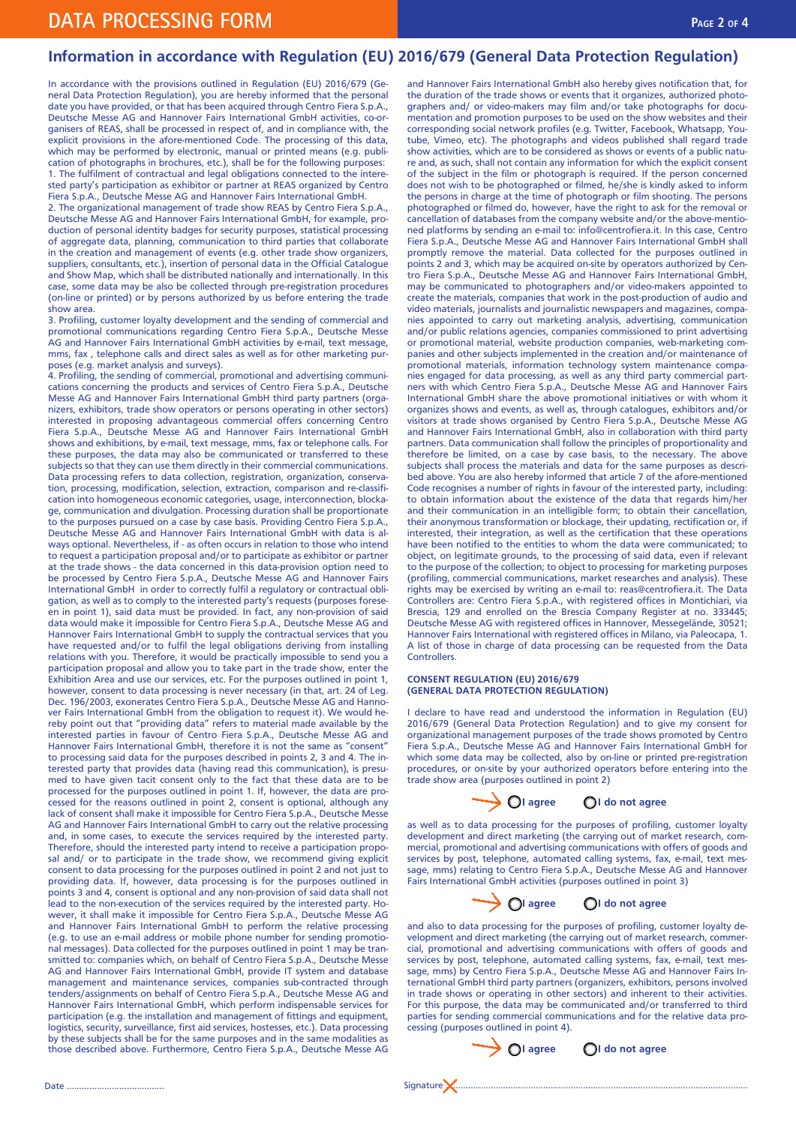# **Information in accordance with Regulation (EU) 2016/679 (General Data Protection Regulation)**

In accordance with the provisions outlined in Regulation (EU) 2016/679 (General Data Protection Regulation), you are hereby informed that the personal date you have provided, or that has been acquired through Centro Fiera S.p.A., Deutsche Messe AG and Hannover Fairs International GmbH activities, co-organisers of REAS, shall be processed in respect of, and in compliance with, the explicit provisions in the afore-mentioned Code. The processing of this data, which may be performed by electronic, manual or printed means (e.g. publication of photographs in brochures, etc.), shall be for the following purposes: 1. The fulfilment of contractual and legal obligations connected to the interested party's participation as exhibitor or partner at REAS organized by Centro Fiera S.p.A., Deutsche Messe AG and Hannover Fairs International GmbH.

2. The organizational management of trade show REAS by Centro Fiera S.p.A., Deutsche Messe AG and Hannover Fairs International GmbH, for example, production of personal identity badges for security purposes, statistical processing of aggregate data, planning, communication to third parties that collaborate in the creation and management of events (e.g. other trade show organizers, suppliers, consultants, etc.), insertion of personal data in the Official Catalogue and Show Map, which shall be distributed nationally and internationally. In this case, some data may be also be collected through pre-registration procedures (on-line or printed) or by persons authorized by us before entering the trade show area.

3. Profiling, customer loyalty development and the sending of commercial and promotional communications regarding Centro Fiera S.p.A., Deutsche Messe AG and Hannover Fairs International GmbH activities by e-mail, text message, mms, fax , telephone calls and direct sales as well as for other marketing purposes (e.g. market analysis and surveys).

4. Profiling, the sending of commercial, promotional and advertising communications concerning the products and services of Centro Fiera S.p.A., Deutsche Messe AG and Hannover Fairs International GmbH third party partners (organizers, exhibitors, trade show operators or persons operating in other sectors) interested in proposing advantageous commercial offers concerning Centro Fiera S.p.A., Deutsche Messe AG and Hannover Fairs International GmbH shows and exhibitions, by e-mail, text message, mms, fax or telephone calls. For these purposes, the data may also be communicated or transferred to these subjects so that they can use them directly in their commercial communications. Data processing refers to data collection, registration, organization, conservation, processing, modification, selection, extraction, comparison and re-classification into homogeneous economic categories, usage, interconnection, blockage, communication and divulgation. Processing duration shall be proportionate to the purposes pursued on a case by case basis. Providing Centro Fiera S.p.A., Deutsche Messe AG and Hannover Fairs International GmbH with data is always optional. Nevertheless, if - as often occurs in relation to those who intend to request a participation proposal and/or to participate as exhibitor or partner at the trade shows - the data concerned in this data-provision option need to be processed by Centro Fiera S.p.A., Deutsche Messe AG and Hannover Fairs International GmbH in order to correctly fulfil a regulatory or contractual obligation, as well as to comply to the interested party's requests (purposes foreseen in point 1), said data must be provided. In fact, any non-provision of said data would make it impossible for Centro Fiera S.p.A., Deutsche Messe AG and Hannover Fairs International GmbH to supply the contractual services that you have requested and/or to fulfil the legal obligations deriving from installing relations with you. Therefore, it would be practically impossible to send you a participation proposal and allow you to take part in the trade show, enter the Exhibition Area and use our services, etc. For the purposes outlined in point 1, however, consent to data processing is never necessary (in that, art. 24 of Leg. Dec. 196/2003, exonerates Centro Fiera S.p.A., Deutsche Messe AG and Hannover Fairs International GmbH from the obligation to request it). We would hereby point out that "providing data" refers to material made available by the interested parties in favour of Centro Fiera S.p.A., Deutsche Messe AG and Hannover Fairs International GmbH, therefore it is not the same as "consent" to processing said data for the purposes described in points 2, 3 and 4. The interested party that provides data (having read this communication), is presumed to have given tacit consent only to the fact that these data are to be processed for the purposes outlined in point 1. If, however, the data are processed for the reasons outlined in point 2, consent is optional, although any lack of consent shall make it impossible for Centro Fiera S.p.A., Deutsche Messe AG and Hannover Fairs International GmbH to carry out the relative processing and, in some cases, to execute the services required by the interested party. Therefore, should the interested party intend to receive a participation proposal and/ or to participate in the trade show, we recommend giving explicit consent to data processing for the purposes outlined in point 2 and not just to providing data. If, however, data processing is for the purposes outlined in points 3 and 4, consent is optional and any non-provision of said data shall not lead to the non-execution of the services required by the interested party. However, it shall make it impossible for Centro Fiera S.p.A., Deutsche Messe AG and Hannover Fairs International GmbH to perform the relative processing (e.g. to use an e-mail address or mobile phone number for sending promotional messages). Data collected for the purposes outlined in point 1 may be transmitted to: companies which, on behalf of Centro Fiera S.p.A., Deutsche Messe AG and Hannover Fairs International GmbH, provide IT system and database management and maintenance services, companies sub-contracted through tenders/assignments on behalf of Centro Fiera S.p.A., Deutsche Messe AG and Hannover Fairs International GmbH, which perform indispensable services for participation (e.g. the installation and management of fittings and equipment, logistics, security, surveillance, first aid services, hostesses, etc.). Data processing by these subjects shall be for the same purposes and in the same modalities as those described above. Furthermore, Centro Fiera S.p.A., Deutsche Messe AG

and Hannover Fairs International GmbH also hereby gives notification that, for the duration of the trade shows or events that it organizes, authorized photographers and/ or video-makers may film and/or take photographs for documentation and promotion purposes to be used on the show websites and their corresponding social network profiles (e.g. Twitter, Facebook, Whatsapp, Youtube, Vimeo, etc). The photographs and videos published shall regard trade show activities, which are to be considered as shows or events of a public nature and, as such, shall not contain any information for which the explicit consent of the subject in the film or photograph is required. If the person concerned does not wish to be photographed or filmed, he/she is kindly asked to inform the persons in charge at the time of photograph or film shooting. The persons photographed or filmed do, however, have the right to ask for the removal or cancellation of databases from the company website and/or the above-mentioned platforms by sending an e-mail to: info@centrofiera.it. In this case, Centro Fiera S.p.A., Deutsche Messe AG and Hannover Fairs International GmbH shall promptly remove the material. Data collected for the purposes outlined in points 2 and 3, which may be acquired on-site by operators authorized by Centro Fiera S.p.A., Deutsche Messe AG and Hannover Fairs International GmbH, may be communicated to photographers and/or video-makers appointed to create the materials, companies that work in the post-production of audio and video materials, journalists and journalistic newspapers and magazines, companies appointed to carry out marketing analysis, advertising, communication and/or public relations agencies, companies commissioned to print advertising or promotional material, website production companies, web-marketing companies and other subjects implemented in the creation and/or maintenance of promotional materials, information technology system maintenance companies engaged for data processing, as well as any third party commercial partners with which Centro Fiera S.p.A., Deutsche Messe AG and Hannover Fairs International GmbH share the above promotional initiatives or with whom it organizes shows and events, as well as, through catalogues, exhibitors and/or visitors at trade shows organised by Centro Fiera S.p.A., Deutsche Messe AG and Hannover Fairs International GmbH, also in collaboration with third party partners. Data communication shall follow the principles of proportionality and therefore be limited, on a case by case basis, to the necessary. The above subjects shall process the materials and data for the same purposes as described above. You are also hereby informed that article 7 of the afore-mentioned Code recognises a number of rights in favour of the interested party, including: to obtain information about the existence of the data that regards him/her and their communication in an intelligible form; to obtain their cancellation, their anonymous transformation or blockage, their updating, rectification or, if interested, their integration, as well as the certification that these operations have been notified to the entities to whom the data were communicated; to object, on legitimate grounds, to the processing of said data, even if relevant to the purpose of the collection; to object to processing for marketing purposes (profiling, commercial communications, market researches and analysis). These rights may be exercised by writing an e-mail to: reas@centrofiera.it. The Data Controllers are: Centro Fiera S.p.A., with registered offices in Montichiari, via Brescia, 129 and enrolled on the Brescia Company Register at no. 333445; Deutsche Messe AG with registered offices in Hannover, Messegelände, 30521; Hannover Fairs International with registered offices in Milano, via Paleocapa, 1. A list of those in charge of data processing can be requested from the Data **Controllers** 

# **CONSENT REGULATION (EU) 2016/679 (GENERAL DATA PROTECTION REGULATION)**

I declare to have read and understood the information in Regulation (EU) 2016/679 (General Data Protection Regulation) and to give my consent for organizational management purposes of the trade shows promoted by Centro Fiera S.p.A., Deutsche Messe AG and Hannover Fairs International GmbH for which some data may be collected, also by on-line or printed pre-registration procedures, or on-site by your authorized operators before entering into the trade show area (purposes outlined in point 2)

|  |  | OI agree |  |  |  | OI do not agree |
|--|--|----------|--|--|--|-----------------|
|--|--|----------|--|--|--|-----------------|

as well as to data processing for the purposes of profiling, customer loyalty development and direct marketing (the carrying out of market research, commercial, promotional and advertising communications with offers of goods and services by post, telephone, automated calling systems, fax, e-mail, text message, mms) relating to Centro Fiera S.p.A., Deutsche Messe AG and Hannover Fairs International GmbH activities (purposes outlined in point 3)

| OI agree | $\bigcirc$ I do not agree |
|----------|---------------------------|
|          |                           |

and also to data processing for the purposes of profiling, customer loyalty development and direct marketing (the carrying out of market research, commercial, promotional and advertising communications with offers of goods and services by post, telephone, automated calling systems, fax, e-mail, text message, mms) by Centro Fiera S.p.A., Deutsche Messe AG and Hannover Fairs International GmbH third party partners (organizers, exhibitors, persons involved in trade shows or operating in other sectors) and inherent to their activities. For this purpose, the data may be communicated and/or transferred to third parties for sending commercial communications and for the relative data processing (purposes outlined in point 4).

Date ....................................... Signature .........................................................................................................................

**I**  $\bigcirc$  I agree  $\bigcirc$  I do not agree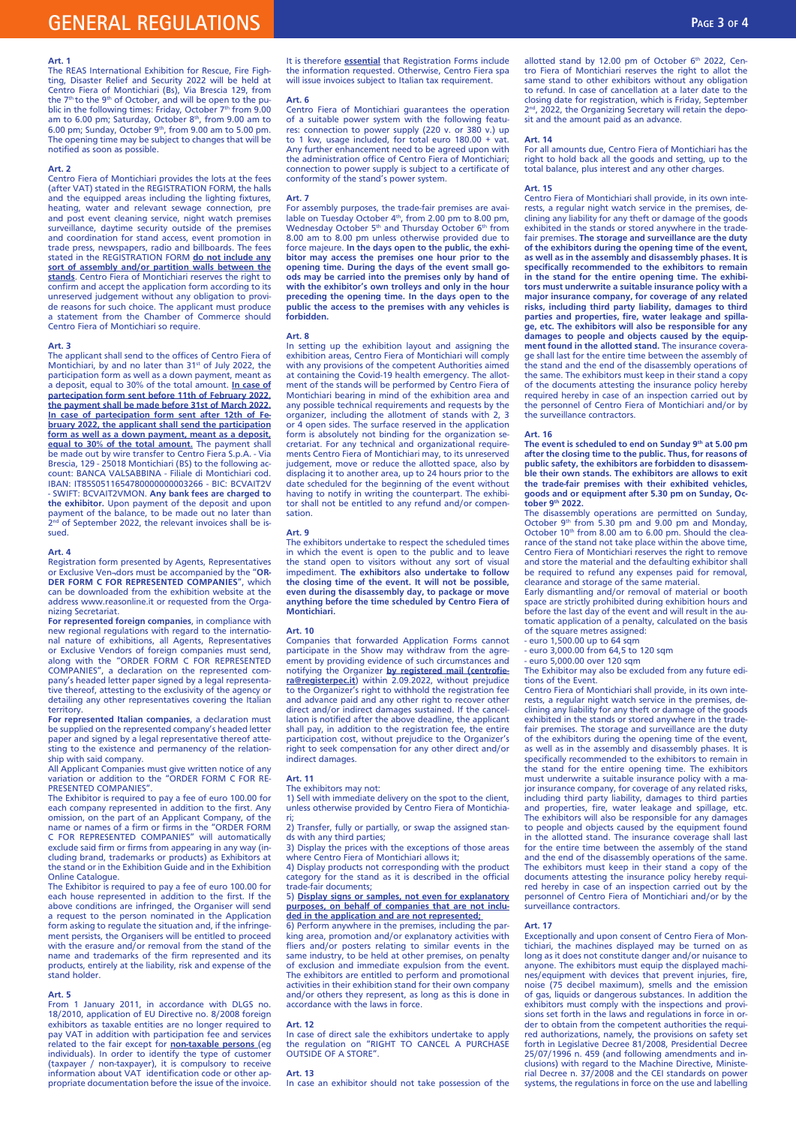# **GENERAL REGULATIONS Page 3 of 4**

### **Art. 1**

The REAS International Exhibition for Rescue, Fire Figh-ting, Disaster Relief and Security 2022 will be held at Centro Fiera of Montichiari (Bs), Via Brescia 129, from the 7<sup>th</sup> to the 9<sup>th</sup> of October, and will be open to the pu-<br>blic in the following times: Friday, October 7<sup>th</sup> from 9.00 am to 6.00 pm; Saturday, October 8<sup>th</sup>, from 9.00 am to 6.00 pm; Sunday, October 9th, from 9.00 am to 5.00 pm. The opening time may be subject to changes that will be notified as soon as possible.

# **Art. 2**

Centro Fiera of Montichiari provides the lots at the fees (after VAT) stated in the REGISTRATION FORM, the halls and the equipped areas including the lighting fixtures, heating, water and relevant sewage connection, pre and post event cleaning service, night watch premises surveillance, daytime security outside of the premises and coordination for stand access, event promotion in trade press, newspapers, radio and billboards. The fees stated in the REGISTRATION FORM **do not include any sort of assembly and/or partition walls between the stands**. Centro Fiera of Montichiari reserves the right to confirm and accept the application form according to its unreserved judgement without any obligation to provide reasons for such choice. The applicant must produce a statement from the Chamber of Commerce should Centro Fiera of Montichiari so require.

# **Art. 3**

The applicant shall send to the offices of Centro Fiera of<br>Montichiari, by and no later than 31st of July 2022, the participation form as well as a down payment, meant as a deposit, equal to 30% of the total amount. **In case of partecipation form sent before 11th of February 2022, the payment shall be made before 31st of March 2022. In case of partecipation form sent after 12th of February 2022, the applicant shall send the participation form as well as a down payment, meant as a deposit, equal to 30% of the total amount.** The payment shall be made out by wire transfer to Centro Fiera S.p.A. - Via Brescia, 129 - 25018 Montichiari (BS) to the following ac-count: BANCA VALSABBINA - Filiale di Montichiari cod. IBAN: IT85S0511654780000000003266 - BIC: BCVAIT2V - SWIFT: BCVAIT2VMON. **Any bank fees are charged to**  the exhibitor. Upon payment of the deposit and upon<br>payment of the balance, to be made out no later than<br>2<sup>nd</sup> of September 2022, the relevant invoices shall be issued.

#### **Art. 4**

Registration form presented by Agents, Representatives or Exclusive Ven¬dors must be accompanied by the "**OR-DER FORM C FOR REPRESENTED COMPANIES**", which can be downloaded from the exhibition website at the address www.reasonline.it or requested from the Organizing Secretariat.

**For represented foreign companies**, in compliance with new regional regulations with regard to the international nature of exhibitions, all Agents, Representatives or Exclusive Vendors of foreign companies must send, along with the "ORDER FORM C FOR REPRESENTED COMPANIES", a declaration on the represented com-pany's headed letter paper signed by a legal representative thereof, attesting to the exclusivity of the agency or detailing any other representatives covering the Italian territory.

**For represented Italian companies**, a declaration must be supplied on the represented company's headed letter paper and signed by a legal representative thereof attesting to the existence and permanency of the relation-

ship with said company. All Applicant Companies must give written notice of any variation or addition to the "ORDER FORM C FOR RE-PRESENTED COMPANIES"

The Exhibitor is required to pay a fee of euro 100.00 for each company represented in addition to the first. Any omission, on the part of an Applicant Company, of the name or names of a firm or firms in the "ORDER FORM C FOR REPRESENTED COMPANIES" will automatically exclude said firm or firms from appearing in any way (including brand, trademarks or products) as Exhibitors at the stand or in the Exhibition Guide and in the Exhibition Online Catalogue.

The Exhibitor is required to pay a fee of euro 100.00 for each house represented in addition to the first. If the above conditions are infringed, the Organiser will send a request to the person nominated in the Application form asking to regulate the situation and, if the infringement persists, the Organisers will be entitled to proceed with the erasure and/or removal from the stand of the name and trademarks of the firm represented and its products, entirely at the liability, risk and expense of the stand holder.

#### **Art. 5**

From 1 January 2011, in accordance with DLGS no. 18/2010, application of EU Directive no. 8/2008 foreign exhibitors as taxable entities are no longer required to pay VAT in addition with participation fee and services related to the fair except for **non-taxable persons** (eg individuals). In order to identify the type of customer (taxpayer / non-taxpayer), it is compulsory to receive information about VAT identification code or other appropriate documentation before the issue of the invoice. It is therefore **essential** that Registration Forms include the information requested. Otherwise, Centro Fiera spa will issue invoices subject to Italian tax requirement.

#### **Art. 6**

Centro Fiera of Montichiari guarantees the operation of a suitable power system with the following features: connection to power supply (220 v. or 380 v.) up to 1 kw, usage included, for total euro 180.00 + vat. Any further enhancement need to be agreed upon with the administration office of Centro Fiera of Montichiari; connection to power supply is subject to a certificate of conformity of the stand's power system.

## **Art. 7**

For assembly purposes, the trade-fair premises are avai-<br>lable on Tuesday October 4th, from 2.00 pm to 8.00 pm,<br>Wednesday October 5th and Thursday October 6th from 8.00 am to 8.00 pm unless otherwise provided due to force majeure. **In the days open to the public, the exhibitor may access the premises one hour prior to the opening time. During the days of the event small goods may be carried into the premises only by hand of with the exhibitor's own trolleys and only in the hour preceding the opening time. In the days open to the public the access to the premises with any vehicles is forbidden.**

**Art. 8** In setting up the exhibition layout and assigning the exhibition areas, Centro Fiera of Montichiari will comply with any provisions of the competent Authorities aimed at containing the Covid-19 health emergency. The allotment of the stands will be performed by Centro Fiera of Montichiari bearing in mind of the exhibition area and any possible technical requirements and requests by the organizer, including the allotment of stands with 2, 3 or 4 open sides. The surface reserved in the application form is absolutely not binding for the organization secretariat. For any technical and organizational require-ments Centro Fiera of Montichiari may, to its unreserved judgement, move or reduce the allotted space, also by displacing it to another area, up to 24 hours prior to the date scheduled for the beginning of the event without having to notify in writing the counterpart. The exhibitor shall not be entitled to any refund and/or compensation.

# **Art. 9**

The exhibitors undertake to respect the scheduled times in which the event is open to the public and to leave the stand open to visitors without any sort of visual impediment. **The exhibitors also undertake to follow the closing time of the event. It will not be possible, even during the disassembly day, to package or move anything before the time scheduled by Centro Fiera of Montichiari.**

#### **Art. 10**

Companies that forwarded Application Forms cannot participate in the Show may withdraw from the agreement by providing evidence of such circumstances and notifying the Organizer **by registered mail (centrofiera@registerpec.it**) within 2.09.2022, without prejudice to the Organizer's right to withhold the registration fee and advance paid and any other right to recover other direct and/or indirect damages sustained. If the cancellation is notified after the above deadline, the applicant shall pay, in addition to the registration fee, the entire participation cost, without prejudice to the Organizer's right to seek compensation for any other direct and/or indirect damages.

#### **Art. 11**

The exhibitors may not:

1) Sell with immediate delivery on the spot to the client, unless otherwise provided by Centro Fiera of Montichia-

ri; 2) Transfer, fully or partially, or swap the assigned stan-ds with any third parties;

3) Display the prices with the exceptions of those areas where Centro Fiera of Montichiari allows it;

4) Display products not corresponding with the product category for the stand as it is described in the official trade-fair documents;

# 5) **Display signs or samples, not even for explanatory purposes, on behalf of companies that are not included in the application and are not represented;**

6) Perform anywhere in the premises, including the parking area, promotion and/or explanatory activities with fliers and/or posters relating to similar events in the same industry, to be held at other premises, on penalty of exclusion and immediate expulsion from the event. The exhibitors are entitled to perform and promotional activities in their exhibition stand for their own company and/or others they represent, as long as this is done in accordance with the laws in force.

#### **Art. 12**

In case of direct sale the exhibitors undertake to apply the regulation on "RIGHT TO CANCEL A PURCHASE OUTSIDE OF A STORE".

### **Art. 13**

In case an exhibitor should not take possession of the

allotted stand by 12.00 pm of October  $6<sup>th</sup>$  2022, Centro Fiera of Montichiari reserves the right to allot the same stand to other exhibitors without any obligation to refund. In case of cancellation at a later date to the closing date for registration, which is Friday, September 2<sup>nd</sup>, 2022, the Organizing Secretary will retain the deposit and the amount paid as an advance.

# **Art. 14**

For all amounts due, Centro Fiera of Montichiari has the right to hold back all the goods and setting, up to the total balance, plus interest and any other charges.

# **Art. 15**

Centro Fiera of Montichiari shall provide, in its own interests, a regular night watch service in the premises, de-clining any liability for any theft or damage of the goods exhibited in the stands or stored anywhere in the tradefair premises. **The storage and surveillance are the duty of the exhibitors during the opening time of the event, as well as in the assembly and disassembly phases. It is specifically recommended to the exhibitors to remain in the stand for the entire opening time. The exhibitors must underwrite a suitable insurance policy with a major insurance company, for coverage of any related risks, including third party liability, damages to third parties and properties, fire, water leakage and spilla-ge, etc. The exhibitors will also be responsible for any damages to people and objects caused by the equip-ment found in the allotted stand.** The insurance coverage shall last for the entire time between the assembly of the stand and the end of the disassembly operations of the same. The exhibitors must keep in their stand a copy of the documents attesting the insurance policy hereby required hereby in case of an inspection carried out by the personnel of Centro Fiera of Montichiari and/or by the surveillance contractors.

# **Art. 16**

The event is scheduled to end on Sunday 9<sup>th</sup> at 5.00 pm<br>after the closing time to the public. Thus, for reasons of **public safety, the exhibitors are forbidden to disassemble their own stands. The exhibitors are allows to exit the trade-fair premises with their exhibited vehicles, goods and or equipment after 5.30 pm on Sunday, October 9th 2022.** 

The disassembly operations are permitted on Sunday,<br>October 9<sup>th</sup> from 5.30 pm and 9.00 pm and Monday,<br>October 10<sup>th</sup> from 8.00 am to 6.00 pm. Should the clearance of the stand not take place within the above time, Centro Fiera of Montichiari reserves the right to remove and store the material and the defaulting exhibitor shall be required to refund any expenses paid for removal, clearance and storage of the same material.

Early dismantling and/or removal of material or booth space are strictly prohibited during exhibition hours and before the last day of the event and will result in the automatic application of a penalty, calculated on the basis of the square metres assigned:

- euro 1,500.00 up to 64 sqm

- euro 3,000.00 from 64,5 to 120 sqm - euro 5,000.00 over 120 sqm

The Exhibitor may also be excluded from any future editions of the Event.

Centro Fiera of Montichiari shall provide, in its own interests, a regular night watch service in the premises, declining any liability for any theft or damage of the goods exhibited in the stands or stored anywhere in the fair premises. The storage and surveillance are the duty of the exhibitors during the opening time of the event, as well as in the assembly and disassembly phases. It is specifically recommended to the exhibitors to remain in the stand for the entire opening time. The exhibitors must underwrite a suitable insurance policy with a major insurance company, for coverage of any related risks, including third party liability, damages to third parties and properties, fire, water leakage and spillage, etc. The exhibitors will also be responsible for any damages to people and objects caused by the equipment found in the allotted stand. The insurance coverage shall last for the entire time between the assembly of the stand and the end of the disassembly operations of the same. The exhibitors must keep in their stand a copy of the documents attesting the insurance policy hereby required hereby in case of an inspection carried out by the personnel of Centro Fiera of Montichiari and/or by the .<br>surveillance contractors.

#### **Art. 17**

Exceptionally and upon consent of Centro Fiera of Montichiari, the machines displayed may be turned on as long as it does not constitute danger and/or nuisance to anyone. The exhibitors must equip the displayed machi-nes/equipment with devices that prevent injuries, fire, noise (75 decibel maximum), smells and the emission of gas, liquids or dangerous substances. In addition the exhibitors must comply with the inspections and provisions set forth in the laws and regulations in force in order to obtain from the competent authorities the required authorizations, namely, the provisions on safety set forth in Legislative Decree 81/2008, Presidential Decree 25/07/1996 n. 459 (and following amendments and inclusions) with regard to the Machine Directive, Ministerial Decree n. 37/2008 and the CEI standards on power systems, the regulations in force on the use and labelling